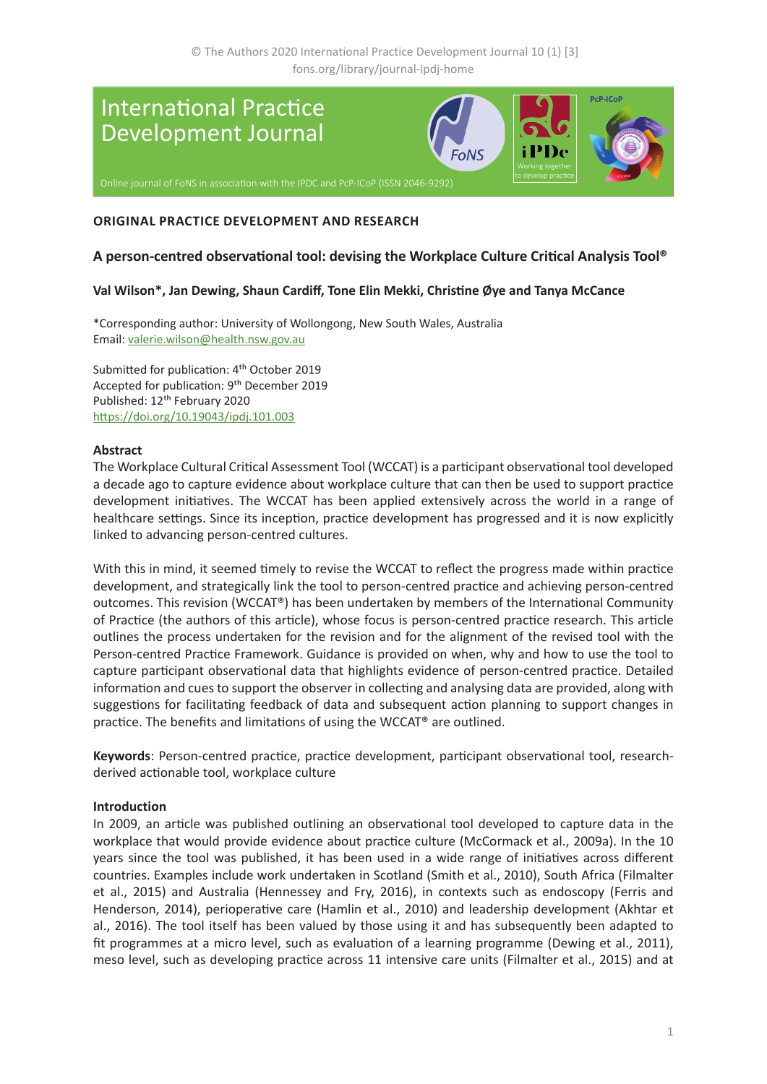

# **ORIGINAL PRACTICE DEVELOPMENT AND RESEARCH**

# **A person-centred observational tool: devising the Workplace Culture Critical Analysis Tool®**

## **Val Wilson\*, Jan Dewing, Shaun Cardiff, Tone Elin Mekki, Christine Øye and Tanya McCance**

\*Corresponding author: University of Wollongong, New South Wales, Australia Email: [valerie.wilson@health.nsw.gov.au](mailto:valerie.wilson%40health.nsw.gov.au?subject=IPDJ%20article)

Submitted for publication: 4<sup>th</sup> October 2019 Accepted for publication: 9th December 2019 Published: 12th February 2020 [https://doi.org/10.19043/ipdj.1](https://doi.org/10.19043/ipdj.101.003)01.003

## **Abstract**

The Workplace Cultural Critical Assessment Tool (WCCAT) is a participant observational tool developed a decade ago to capture evidence about workplace culture that can then be used to support practice development initiatives. The WCCAT has been applied extensively across the world in a range of healthcare settings. Since its inception, practice development has progressed and it is now explicitly linked to advancing person-centred cultures.

With this in mind, it seemed timely to revise the WCCAT to reflect the progress made within practice development, and strategically link the tool to person-centred practice and achieving person-centred outcomes. This revision (WCCAT®) has been undertaken by members of the International Community of Practice (the authors of this article), whose focus is person-centred practice research. This article outlines the process undertaken for the revision and for the alignment of the revised tool with the Person-centred Practice Framework. Guidance is provided on when, why and how to use the tool to capture participant observational data that highlights evidence of person-centred practice. Detailed information and cues to support the observer in collecting and analysing data are provided, along with suggestions for facilitating feedback of data and subsequent action planning to support changes in practice. The benefits and limitations of using the WCCAT® are outlined.

**Keywords**: Person-centred practice, practice development, participant observational tool, researchderived actionable tool, workplace culture

#### **Introduction**

In 2009, an article was published outlining an observational tool developed to capture data in the workplace that would provide evidence about practice culture (McCormack et al., 2009a). In the 10 years since the tool was published, it has been used in a wide range of initiatives across different countries. Examples include work undertaken in Scotland (Smith et al., 2010), South Africa (Filmalter et al., 2015) and Australia (Hennessey and Fry, 2016), in contexts such as endoscopy (Ferris and Henderson, 2014), perioperative care (Hamlin et al., 2010) and leadership development (Akhtar et al., 2016). The tool itself has been valued by those using it and has subsequently been adapted to fit programmes at a micro level, such as evaluation of a learning programme (Dewing et al., 2011), meso level, such as developing practice across 11 intensive care units (Filmalter et al., 2015) and at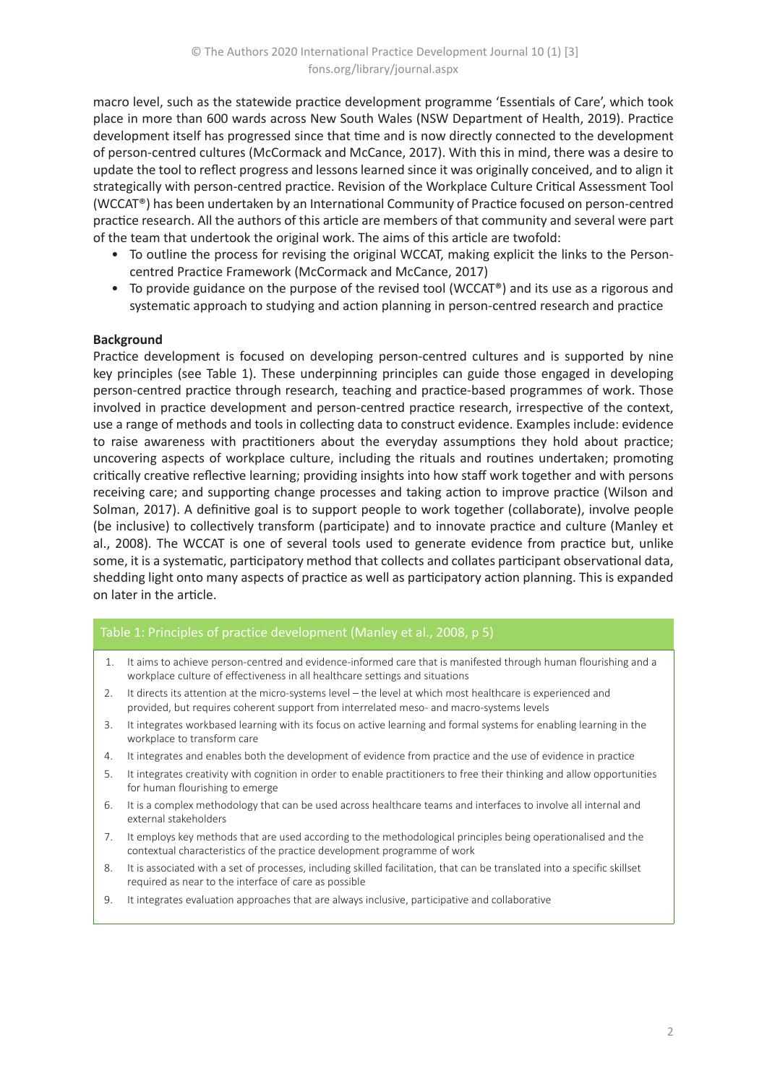macro level, such as the statewide practice development programme 'Essentials of Care', which took place in more than 600 wards across New South Wales (NSW Department of Health, 2019). Practice development itself has progressed since that time and is now directly connected to the development of person-centred cultures (McCormack and McCance, 2017). With this in mind, there was a desire to update the tool to reflect progress and lessons learned since it was originally conceived, and to align it strategically with person-centred practice. Revision of the Workplace Culture Critical Assessment Tool (WCCAT®) has been undertaken by an International Community of Practice focused on person-centred practice research. All the authors of this article are members of that community and several were part of the team that undertook the original work. The aims of this article are twofold:

- To outline the process for revising the original WCCAT, making explicit the links to the Personcentred Practice Framework (McCormack and McCance, 2017)
- To provide guidance on the purpose of the revised tool (WCCAT®) and its use as a rigorous and systematic approach to studying and action planning in person-centred research and practice

## **Background**

Practice development is focused on developing person-centred cultures and is supported by nine key principles (see Table 1). These underpinning principles can guide those engaged in developing person-centred practice through research, teaching and practice-based programmes of work. Those involved in practice development and person-centred practice research, irrespective of the context, use a range of methods and tools in collecting data to construct evidence. Examples include: evidence to raise awareness with practitioners about the everyday assumptions they hold about practice; uncovering aspects of workplace culture, including the rituals and routines undertaken; promoting critically creative reflective learning; providing insights into how staff work together and with persons receiving care; and supporting change processes and taking action to improve practice (Wilson and Solman, 2017). A definitive goal is to support people to work together (collaborate), involve people (be inclusive) to collectively transform (participate) and to innovate practice and culture (Manley et al., 2008). The WCCAT is one of several tools used to generate evidence from practice but, unlike some, it is a systematic, participatory method that collects and collates participant observational data, shedding light onto many aspects of practice as well as participatory action planning. This is expanded on later in the article.

## Table 1: Principles of practice development (Manley et al., 2008, p 5)

- 1. It aims to achieve person-centred and evidence-informed care that is manifested through human flourishing and a workplace culture of effectiveness in all healthcare settings and situations
- 2. It directs its attention at the micro-systems level the level at which most healthcare is experienced and provided, but requires coherent support from interrelated meso- and macro-systems levels
- 3. It integrates workbased learning with its focus on active learning and formal systems for enabling learning in the workplace to transform care
- 4. It integrates and enables both the development of evidence from practice and the use of evidence in practice
- 5. It integrates creativity with cognition in order to enable practitioners to free their thinking and allow opportunities for human flourishing to emerge
- 6. It is a complex methodology that can be used across healthcare teams and interfaces to involve all internal and external stakeholders
- 7. It employs key methods that are used according to the methodological principles being operationalised and the contextual characteristics of the practice development programme of work
- 8. It is associated with a set of processes, including skilled facilitation, that can be translated into a specific skillset required as near to the interface of care as possible
- 9. It integrates evaluation approaches that are always inclusive, participative and collaborative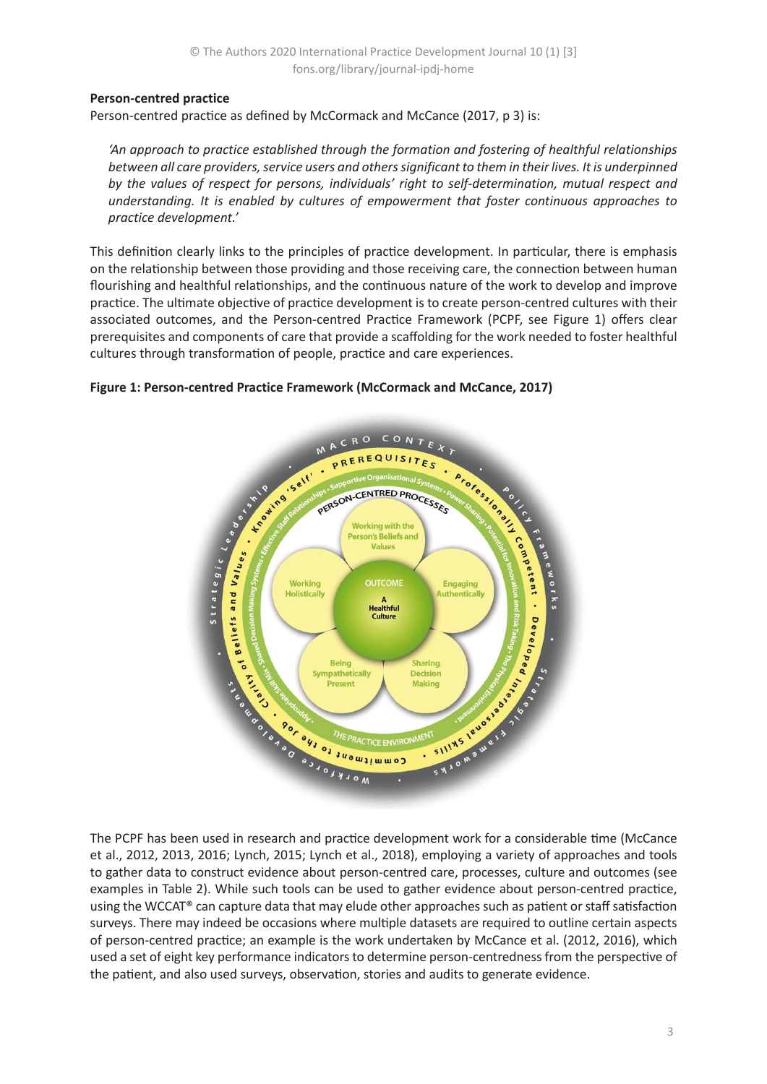# **Person-centred practice**

Person-centred practice as defined by McCormack and McCance (2017, p 3) is:

*'An approach to practice established through the formation and fostering of healthful relationships between all care providers, service users and others significant to them in their lives. It is underpinned by the values of respect for persons, individuals' right to self-determination, mutual respect and understanding. It is enabled by cultures of empowerment that foster continuous approaches to practice development.'*

This definition clearly links to the principles of practice development. In particular, there is emphasis on the relationship between those providing and those receiving care, the connection between human flourishing and healthful relationships, and the continuous nature of the work to develop and improve practice. The ultimate objective of practice development is to create person-centred cultures with their associated outcomes, and the Person-centred Practice Framework (PCPF, see Figure 1) offers clear prerequisites and components of care that provide a scaffolding for the work needed to foster healthful cultures through transformation of people, practice and care experiences.



## **Figure 1: Person-centred Practice Framework (McCormack and McCance, 2017)**

et al., 2012, 2013, 2016; Lynch, 2015; Lynch et al., 2018), employing a variety of approaches and tools to gather data to construct evidence about person-centred care, processes, culture and outcomes (see examples in Table 2). While such tools can be used to gather evidence about person-centred practice, using the WCCAT® can capture data that may elude other approaches such as patient or staff satisfaction surveys. There may indeed be occasions where multiple datasets are required to outline certain aspects of person-centred practice; an example is the work undertaken by McCance et al. (2012, 2016), which used a set of eight key performance indicators to determine person-centredness from the perspective of the patient, and also used surveys, observation, stories and audits to generate evidence.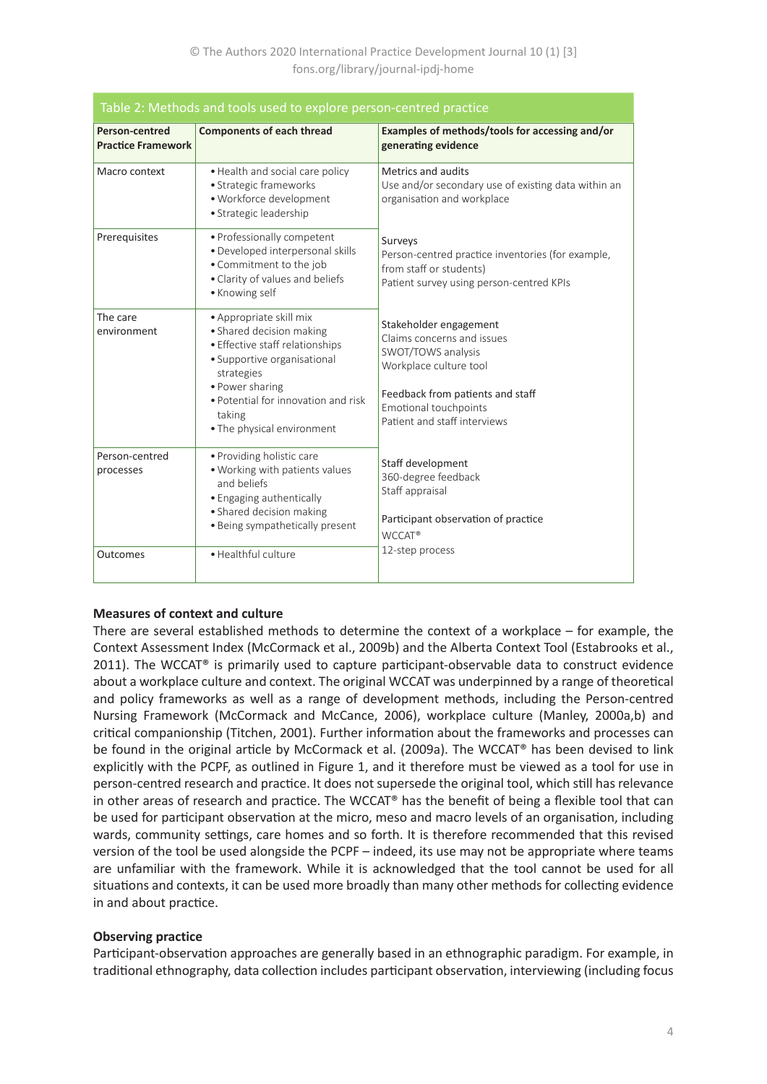| Table 2: Methods and tools used to explore person-centred practice |                                                                                                                                                                                                                                       |                                                                                                                                                                                                   |  |  |  |  |  |
|--------------------------------------------------------------------|---------------------------------------------------------------------------------------------------------------------------------------------------------------------------------------------------------------------------------------|---------------------------------------------------------------------------------------------------------------------------------------------------------------------------------------------------|--|--|--|--|--|
| Person-centred<br><b>Practice Framework</b>                        | <b>Components of each thread</b>                                                                                                                                                                                                      | Examples of methods/tools for accessing and/or<br>generating evidence                                                                                                                             |  |  |  |  |  |
| Macro context                                                      | • Health and social care policy<br>· Strategic frameworks<br>· Workforce development<br>· Strategic leadership                                                                                                                        | <b>Metrics and audits</b><br>Use and/or secondary use of existing data within an<br>organisation and workplace                                                                                    |  |  |  |  |  |
| Prerequisites                                                      | • Professionally competent<br>· Developed interpersonal skills<br>• Commitment to the job<br>• Clarity of values and beliefs<br>• Knowing self                                                                                        | Surveys<br>Person-centred practice inventories (for example,<br>from staff or students)<br>Patient survey using person-centred KPIs                                                               |  |  |  |  |  |
| The care<br>environment                                            | • Appropriate skill mix<br>• Shared decision making<br>• Effective staff relationships<br>• Supportive organisational<br>strategies<br>• Power sharing<br>• Potential for innovation and risk<br>taking<br>• The physical environment | Stakeholder engagement<br>Claims concerns and issues<br>SWOT/TOWS analysis<br>Workplace culture tool<br>Feedback from patients and staff<br>Emotional touchpoints<br>Patient and staff interviews |  |  |  |  |  |
| Person-centred<br>processes                                        | • Providing holistic care<br>. Working with patients values<br>and beliefs<br>• Engaging authentically<br>• Shared decision making<br>• Being sympathetically present                                                                 | Staff development<br>360-degree feedback<br>Staff appraisal<br>Participant observation of practice<br><b>WCCAT®</b>                                                                               |  |  |  |  |  |
| Outcomes                                                           | · Healthful culture                                                                                                                                                                                                                   | 12-step process                                                                                                                                                                                   |  |  |  |  |  |

# **Measures of context and culture**

There are several established methods to determine the context of a workplace – for example, the Context Assessment Index (McCormack et al., 2009b) and the Alberta Context Tool (Estabrooks et al., 2011). The WCCAT<sup>®</sup> is primarily used to capture participant-observable data to construct evidence about a workplace culture and context. The original WCCAT was underpinned by a range of theoretical and policy frameworks as well as a range of development methods, including the Person-centred Nursing Framework (McCormack and McCance, 2006), workplace culture (Manley, 2000a,b) and critical companionship (Titchen, 2001). Further information about the frameworks and processes can be found in the original article by McCormack et al. (2009a). The WCCAT® has been devised to link explicitly with the PCPF, as outlined in Figure 1, and it therefore must be viewed as a tool for use in person-centred research and practice. It does not supersede the original tool, which still has relevance in other areas of research and practice. The WCCAT® has the benefit of being a flexible tool that can be used for participant observation at the micro, meso and macro levels of an organisation, including wards, community settings, care homes and so forth. It is therefore recommended that this revised version of the tool be used alongside the PCPF – indeed, its use may not be appropriate where teams are unfamiliar with the framework. While it is acknowledged that the tool cannot be used for all situations and contexts, it can be used more broadly than many other methods for collecting evidence in and about practice.

## **Observing practice**

Participant-observation approaches are generally based in an ethnographic paradigm. For example, in traditional ethnography, data collection includes participant observation, interviewing (including focus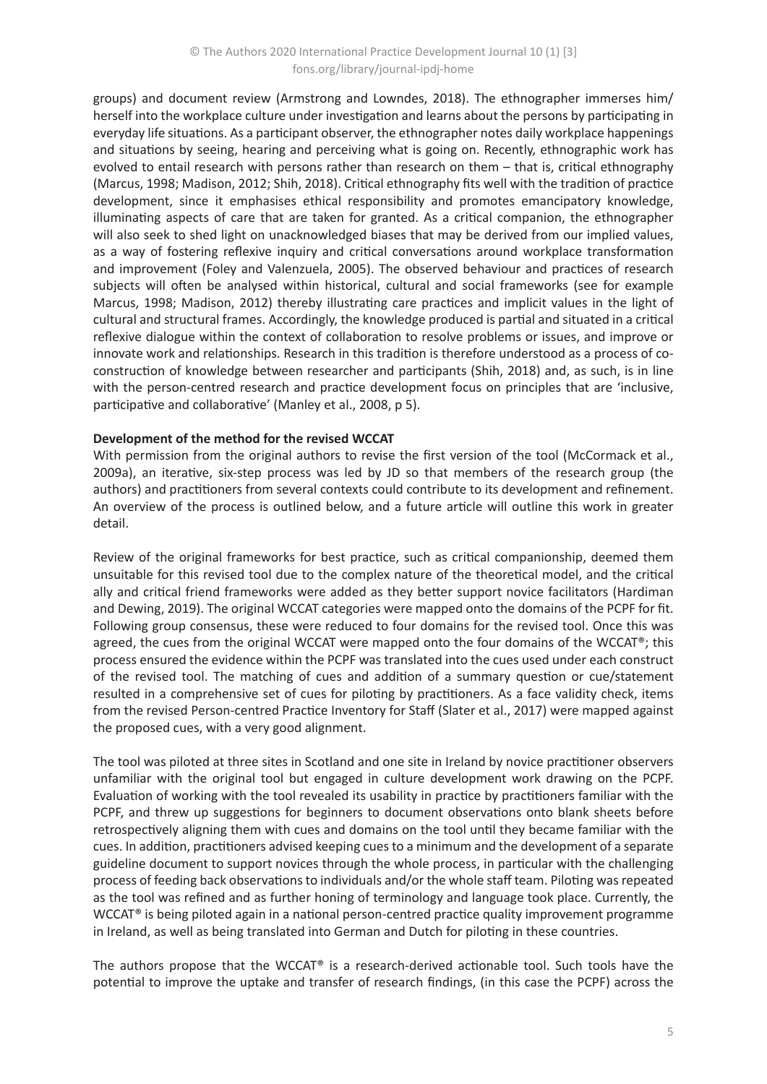groups) and document review (Armstrong and Lowndes, 2018). The ethnographer immerses him/ herself into the workplace culture under investigation and learns about the persons by participating in everyday life situations. As a participant observer, the ethnographer notes daily workplace happenings and situations by seeing, hearing and perceiving what is going on. Recently, ethnographic work has evolved to entail research with persons rather than research on them – that is, critical ethnography (Marcus, 1998; Madison, 2012; Shih, 2018). Critical ethnography fits well with the tradition of practice development, since it emphasises ethical responsibility and promotes emancipatory knowledge, illuminating aspects of care that are taken for granted. As a critical companion, the ethnographer will also seek to shed light on unacknowledged biases that may be derived from our implied values, as a way of fostering reflexive inquiry and critical conversations around workplace transformation and improvement (Foley and Valenzuela, 2005). The observed behaviour and practices of research subjects will often be analysed within historical, cultural and social frameworks (see for example Marcus, 1998; Madison, 2012) thereby illustrating care practices and implicit values in the light of cultural and structural frames. Accordingly, the knowledge produced is partial and situated in a critical reflexive dialogue within the context of collaboration to resolve problems or issues, and improve or innovate work and relationships. Research in this tradition is therefore understood as a process of coconstruction of knowledge between researcher and participants (Shih, 2018) and, as such, is in line with the person-centred research and practice development focus on principles that are 'inclusive, participative and collaborative' (Manley et al., 2008, p 5).

## **Development of the method for the revised WCCAT**

With permission from the original authors to revise the first version of the tool (McCormack et al., 2009a), an iterative, six-step process was led by JD so that members of the research group (the authors) and practitioners from several contexts could contribute to its development and refinement. An overview of the process is outlined below, and a future article will outline this work in greater detail.

Review of the original frameworks for best practice, such as critical companionship, deemed them unsuitable for this revised tool due to the complex nature of the theoretical model, and the critical ally and critical friend frameworks were added as they better support novice facilitators (Hardiman and Dewing, 2019). The original WCCAT categories were mapped onto the domains of the PCPF for fit. Following group consensus, these were reduced to four domains for the revised tool. Once this was agreed, the cues from the original WCCAT were mapped onto the four domains of the WCCAT®; this process ensured the evidence within the PCPF was translated into the cues used under each construct of the revised tool. The matching of cues and addition of a summary question or cue/statement resulted in a comprehensive set of cues for piloting by practitioners. As a face validity check, items from the revised Person-centred Practice Inventory for Staff (Slater et al., 2017) were mapped against the proposed cues, with a very good alignment.

The tool was piloted at three sites in Scotland and one site in Ireland by novice practitioner observers unfamiliar with the original tool but engaged in culture development work drawing on the PCPF. Evaluation of working with the tool revealed its usability in practice by practitioners familiar with the PCPF, and threw up suggestions for beginners to document observations onto blank sheets before retrospectively aligning them with cues and domains on the tool until they became familiar with the cues. In addition, practitioners advised keeping cues to a minimum and the development of a separate guideline document to support novices through the whole process, in particular with the challenging process of feeding back observations to individuals and/or the whole staff team. Piloting was repeated as the tool was refined and as further honing of terminology and language took place. Currently, the WCCAT® is being piloted again in a national person-centred practice quality improvement programme in Ireland, as well as being translated into German and Dutch for piloting in these countries.

The authors propose that the WCCAT® is a research-derived actionable tool. Such tools have the potential to improve the uptake and transfer of research findings, (in this case the PCPF) across the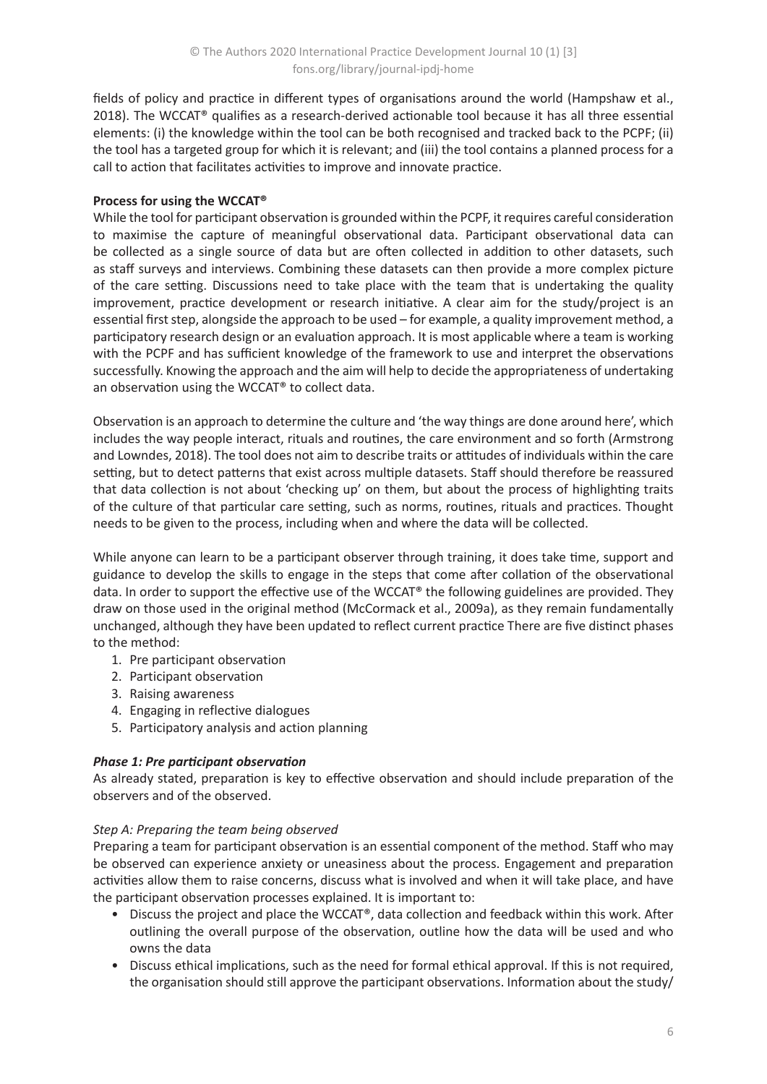fields of policy and practice in different types of organisations around the world (Hampshaw et al., 2018). The WCCAT® qualifies as a research-derived actionable tool because it has all three essential elements: (i) the knowledge within the tool can be both recognised and tracked back to the PCPF; (ii) the tool has a targeted group for which it is relevant; and (iii) the tool contains a planned process for a call to action that facilitates activities to improve and innovate practice.

# **Process for using the WCCAT®**

While the tool for participant observation is grounded within the PCPF, it requires careful consideration to maximise the capture of meaningful observational data. Participant observational data can be collected as a single source of data but are often collected in addition to other datasets, such as staff surveys and interviews. Combining these datasets can then provide a more complex picture of the care setting. Discussions need to take place with the team that is undertaking the quality improvement, practice development or research initiative. A clear aim for the study/project is an essential first step, alongside the approach to be used – for example, a quality improvement method, a participatory research design or an evaluation approach. It is most applicable where a team is working with the PCPF and has sufficient knowledge of the framework to use and interpret the observations successfully. Knowing the approach and the aim will help to decide the appropriateness of undertaking an observation using the WCCAT® to collect data.

Observation is an approach to determine the culture and 'the way things are done around here', which includes the way people interact, rituals and routines, the care environment and so forth (Armstrong and Lowndes, 2018). The tool does not aim to describe traits or attitudes of individuals within the care setting, but to detect patterns that exist across multiple datasets. Staff should therefore be reassured that data collection is not about 'checking up' on them, but about the process of highlighting traits of the culture of that particular care setting, such as norms, routines, rituals and practices. Thought needs to be given to the process, including when and where the data will be collected.

While anyone can learn to be a participant observer through training, it does take time, support and guidance to develop the skills to engage in the steps that come after collation of the observational data. In order to support the effective use of the WCCAT® the following guidelines are provided. They draw on those used in the original method (McCormack et al., 2009a), as they remain fundamentally unchanged, although they have been updated to reflect current practice There are five distinct phases to the method:

- 1. Pre participant observation
- 2. Participant observation
- 3. Raising awareness
- 4. Engaging in reflective dialogues
- 5. Participatory analysis and action planning

# *Phase 1: Pre participant observation*

As already stated, preparation is key to effective observation and should include preparation of the observers and of the observed.

# *Step A: Preparing the team being observed*

Preparing a team for participant observation is an essential component of the method. Staff who may be observed can experience anxiety or uneasiness about the process. Engagement and preparation activities allow them to raise concerns, discuss what is involved and when it will take place, and have the participant observation processes explained. It is important to:

- Discuss the project and place the WCCAT®, data collection and feedback within this work. After outlining the overall purpose of the observation, outline how the data will be used and who owns the data
- Discuss ethical implications, such as the need for formal ethical approval. If this is not required, the organisation should still approve the participant observations. Information about the study/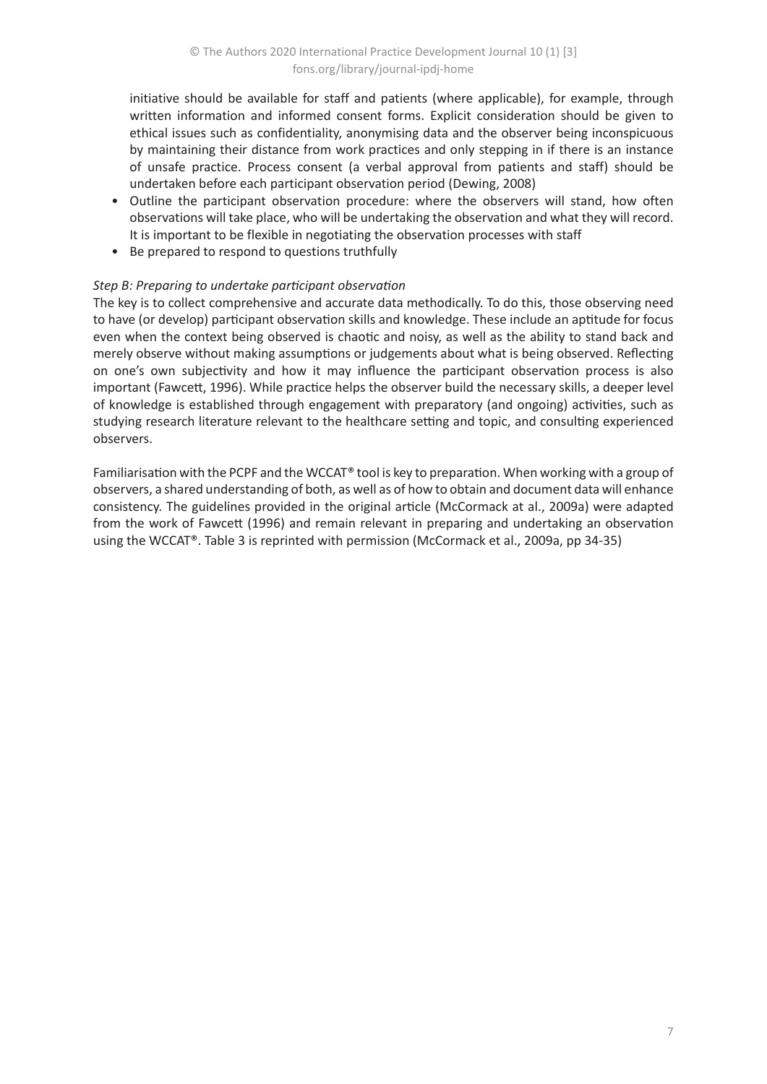initiative should be available for staff and patients (where applicable), for example, through written information and informed consent forms. Explicit consideration should be given to ethical issues such as confidentiality, anonymising data and the observer being inconspicuous by maintaining their distance from work practices and only stepping in if there is an instance of unsafe practice. Process consent (a verbal approval from patients and staff) should be undertaken before each participant observation period (Dewing, 2008)

- Outline the participant observation procedure: where the observers will stand, how often observations will take place, who will be undertaking the observation and what they will record. It is important to be flexible in negotiating the observation processes with staff
- Be prepared to respond to questions truthfully

## *Step B: Preparing to undertake participant observation*

The key is to collect comprehensive and accurate data methodically. To do this, those observing need to have (or develop) participant observation skills and knowledge. These include an aptitude for focus even when the context being observed is chaotic and noisy, as well as the ability to stand back and merely observe without making assumptions or judgements about what is being observed. Reflecting on one's own subjectivity and how it may influence the participant observation process is also important (Fawcett, 1996). While practice helps the observer build the necessary skills, a deeper level of knowledge is established through engagement with preparatory (and ongoing) activities, such as studying research literature relevant to the healthcare setting and topic, and consulting experienced observers.

Familiarisation with the PCPF and the WCCAT® tool is key to preparation. When working with a group of observers, a shared understanding of both, as well as of how to obtain and document data will enhance consistency. The guidelines provided in the original article (McCormack at al., 2009a) were adapted from the work of Fawcett (1996) and remain relevant in preparing and undertaking an observation using the WCCAT®. Table 3 is reprinted with permission (McCormack et al., 2009a, pp 34-35)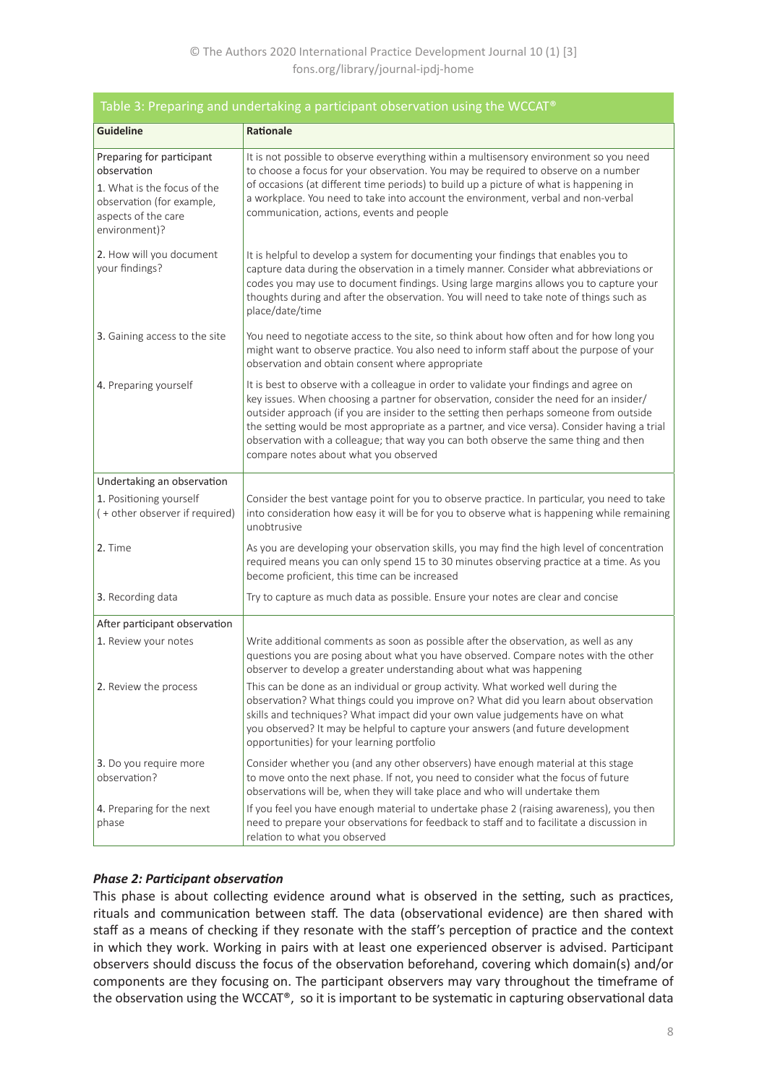| Table 3: Preparing and undertaking a participant observation using the WCCAT®                                                                |                                                                                                                                                                                                                                                                                                                                                                                                                                                                                                            |  |  |  |  |  |
|----------------------------------------------------------------------------------------------------------------------------------------------|------------------------------------------------------------------------------------------------------------------------------------------------------------------------------------------------------------------------------------------------------------------------------------------------------------------------------------------------------------------------------------------------------------------------------------------------------------------------------------------------------------|--|--|--|--|--|
| <b>Guideline</b>                                                                                                                             | Rationale                                                                                                                                                                                                                                                                                                                                                                                                                                                                                                  |  |  |  |  |  |
| Preparing for participant<br>observation<br>1. What is the focus of the<br>observation (for example,<br>aspects of the care<br>environment)? | It is not possible to observe everything within a multisensory environment so you need<br>to choose a focus for your observation. You may be required to observe on a number<br>of occasions (at different time periods) to build up a picture of what is happening in<br>a workplace. You need to take into account the environment, verbal and non-verbal<br>communication, actions, events and people                                                                                                   |  |  |  |  |  |
| 2. How will you document<br>your findings?                                                                                                   | It is helpful to develop a system for documenting your findings that enables you to<br>capture data during the observation in a timely manner. Consider what abbreviations or<br>codes you may use to document findings. Using large margins allows you to capture your<br>thoughts during and after the observation. You will need to take note of things such as<br>place/date/time                                                                                                                      |  |  |  |  |  |
| 3. Gaining access to the site                                                                                                                | You need to negotiate access to the site, so think about how often and for how long you<br>might want to observe practice. You also need to inform staff about the purpose of your<br>observation and obtain consent where appropriate                                                                                                                                                                                                                                                                     |  |  |  |  |  |
| 4. Preparing yourself                                                                                                                        | It is best to observe with a colleague in order to validate your findings and agree on<br>key issues. When choosing a partner for observation, consider the need for an insider/<br>outsider approach (if you are insider to the setting then perhaps someone from outside<br>the setting would be most appropriate as a partner, and vice versa). Consider having a trial<br>observation with a colleague; that way you can both observe the same thing and then<br>compare notes about what you observed |  |  |  |  |  |
| Undertaking an observation                                                                                                                   |                                                                                                                                                                                                                                                                                                                                                                                                                                                                                                            |  |  |  |  |  |
| 1. Positioning yourself<br>(+ other observer if required)                                                                                    | Consider the best vantage point for you to observe practice. In particular, you need to take<br>into consideration how easy it will be for you to observe what is happening while remaining<br>unobtrusive                                                                                                                                                                                                                                                                                                 |  |  |  |  |  |
| 2. Time                                                                                                                                      | As you are developing your observation skills, you may find the high level of concentration<br>required means you can only spend 15 to 30 minutes observing practice at a time. As you<br>become proficient, this time can be increased                                                                                                                                                                                                                                                                    |  |  |  |  |  |
| 3. Recording data                                                                                                                            | Try to capture as much data as possible. Ensure your notes are clear and concise                                                                                                                                                                                                                                                                                                                                                                                                                           |  |  |  |  |  |
| After participant observation                                                                                                                |                                                                                                                                                                                                                                                                                                                                                                                                                                                                                                            |  |  |  |  |  |
| 1. Review your notes                                                                                                                         | Write additional comments as soon as possible after the observation, as well as any<br>questions you are posing about what you have observed. Compare notes with the other<br>observer to develop a greater understanding about what was happening                                                                                                                                                                                                                                                         |  |  |  |  |  |
| 2. Review the process                                                                                                                        | This can be done as an individual or group activity. What worked well during the<br>observation? What things could you improve on? What did you learn about observation<br>skills and techniques? What impact did your own value judgements have on what<br>you observed? It may be helpful to capture your answers (and future development<br>opportunities) for your learning portfolio                                                                                                                  |  |  |  |  |  |
| 3. Do you require more<br>observation?                                                                                                       | Consider whether you (and any other observers) have enough material at this stage<br>to move onto the next phase. If not, you need to consider what the focus of future<br>observations will be, when they will take place and who will undertake them                                                                                                                                                                                                                                                     |  |  |  |  |  |
| 4. Preparing for the next<br>phase                                                                                                           | If you feel you have enough material to undertake phase 2 (raising awareness), you then<br>need to prepare your observations for feedback to staff and to facilitate a discussion in<br>relation to what you observed                                                                                                                                                                                                                                                                                      |  |  |  |  |  |

# *Phase 2: Participant observation*

This phase is about collecting evidence around what is observed in the setting, such as practices, rituals and communication between staff. The data (observational evidence) are then shared with staff as a means of checking if they resonate with the staff's perception of practice and the context in which they work. Working in pairs with at least one experienced observer is advised. Participant observers should discuss the focus of the observation beforehand, covering which domain(s) and/or components are they focusing on. The participant observers may vary throughout the timeframe of the observation using the WCCAT®, so it is important to be systematic in capturing observational data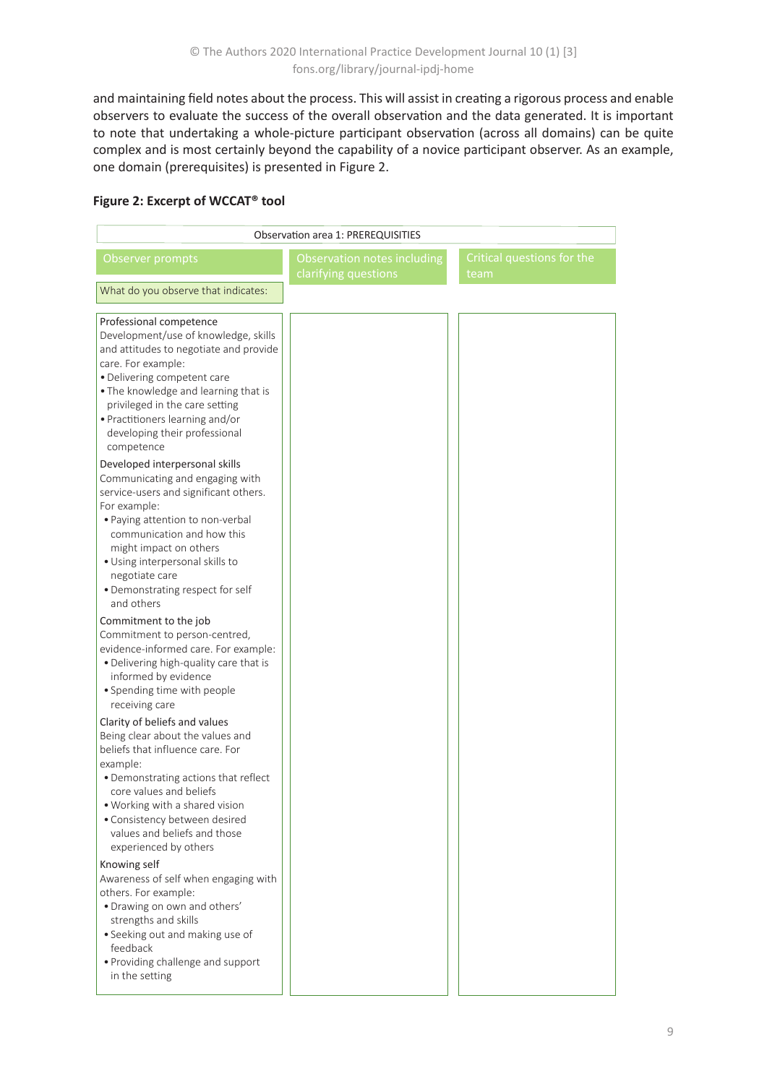and maintaining field notes about the process. This will assist in creating a rigorous process and enable observers to evaluate the success of the overall observation and the data generated. It is important to note that undertaking a whole-picture participant observation (across all domains) can be quite complex and is most certainly beyond the capability of a novice participant observer. As an example, one domain (prerequisites) is presented in Figure 2.

# **Figure 2: Excerpt of WCCAT® tool**

| <b>Observation area 1: PREREQUISITIES</b>                                                                                                                                                                                                                                                                                     |                                                     |                                    |  |  |  |  |  |  |  |
|-------------------------------------------------------------------------------------------------------------------------------------------------------------------------------------------------------------------------------------------------------------------------------------------------------------------------------|-----------------------------------------------------|------------------------------------|--|--|--|--|--|--|--|
| Observer prompts                                                                                                                                                                                                                                                                                                              | Observation notes including<br>clarifying questions | Critical questions for the<br>team |  |  |  |  |  |  |  |
| What do you observe that indicates:                                                                                                                                                                                                                                                                                           |                                                     |                                    |  |  |  |  |  |  |  |
| Professional competence<br>Development/use of knowledge, skills<br>and attitudes to negotiate and provide<br>care. For example:<br>· Delivering competent care<br>. The knowledge and learning that is<br>privileged in the care setting<br>· Practitioners learning and/or<br>developing their professional<br>competence    |                                                     |                                    |  |  |  |  |  |  |  |
| Developed interpersonal skills<br>Communicating and engaging with<br>service-users and significant others.<br>For example:<br>• Paying attention to non-verbal<br>communication and how this<br>might impact on others<br>· Using interpersonal skills to<br>negotiate care<br>• Demonstrating respect for self<br>and others |                                                     |                                    |  |  |  |  |  |  |  |
| Commitment to the job<br>Commitment to person-centred,<br>evidence-informed care. For example:<br>• Delivering high-quality care that is<br>informed by evidence<br>• Spending time with people<br>receiving care                                                                                                             |                                                     |                                    |  |  |  |  |  |  |  |
| Clarity of beliefs and values<br>Being clear about the values and<br>beliefs that influence care. For<br>example:<br>• Demonstrating actions that reflect<br>core values and beliefs<br>. Working with a shared vision<br>• Consistency between desired<br>values and beliefs and those<br>experienced by others              |                                                     |                                    |  |  |  |  |  |  |  |
| Knowing self<br>Awareness of self when engaging with<br>others. For example:<br>. Drawing on own and others'<br>strengths and skills<br>• Seeking out and making use of<br>feedback<br>• Providing challenge and support<br>in the setting                                                                                    |                                                     |                                    |  |  |  |  |  |  |  |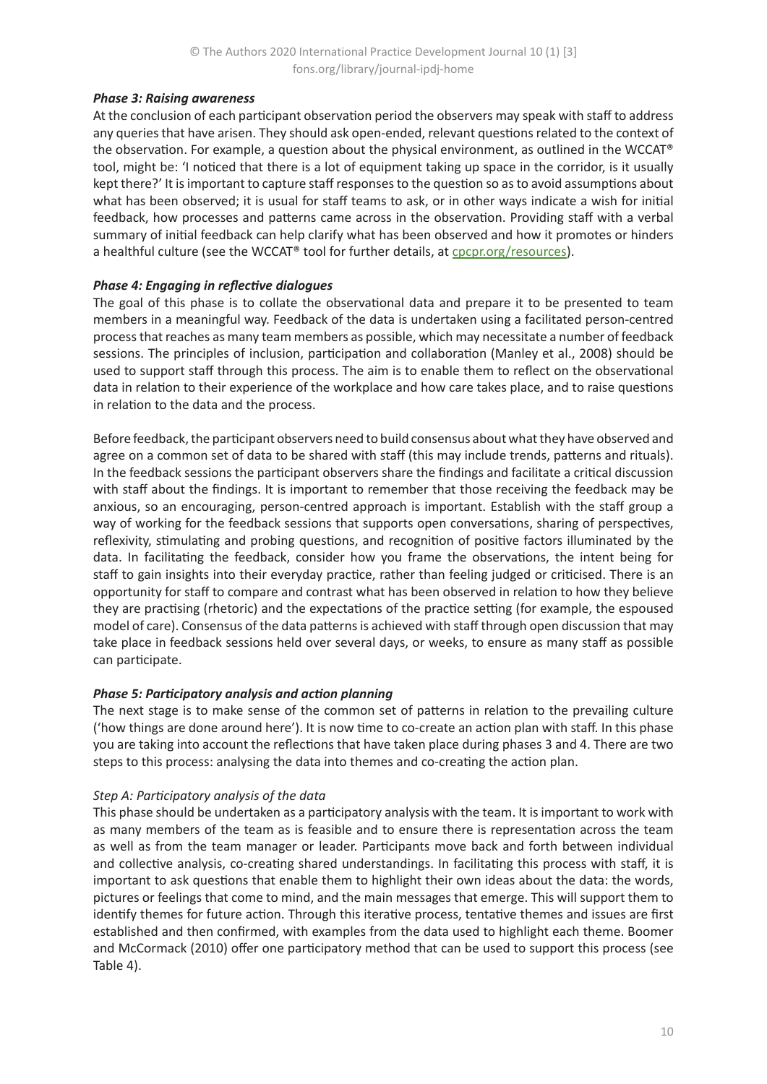# *Phase 3: Raising awareness*

At the conclusion of each participant observation period the observers may speak with staff to address any queries that have arisen. They should ask open-ended, relevant questions related to the context of the observation. For example, a question about the physical environment, as outlined in the WCCAT® tool, might be: 'I noticed that there is a lot of equipment taking up space in the corridor, is it usually kept there?' It is important to capture staff responses to the question so as to avoid assumptions about what has been observed; it is usual for staff teams to ask, or in other ways indicate a wish for initial feedback, how processes and patterns came across in the observation. Providing staff with a verbal summary of initial feedback can help clarify what has been observed and how it promotes or hinders a healthful culture (see the WCCAT® tool for further details, at [cpcpr.org/resources\)](https://www.cpcpr.org/resources).

# *Phase 4: Engaging in reflective dialogues*

The goal of this phase is to collate the observational data and prepare it to be presented to team members in a meaningful way. Feedback of the data is undertaken using a facilitated person-centred process that reaches as many team members as possible, which may necessitate a number of feedback sessions. The principles of inclusion, participation and collaboration (Manley et al., 2008) should be used to support staff through this process. The aim is to enable them to reflect on the observational data in relation to their experience of the workplace and how care takes place, and to raise questions in relation to the data and the process.

Before feedback, the participant observers need to build consensus about what they have observed and agree on a common set of data to be shared with staff (this may include trends, patterns and rituals). In the feedback sessions the participant observers share the findings and facilitate a critical discussion with staff about the findings. It is important to remember that those receiving the feedback may be anxious, so an encouraging, person-centred approach is important. Establish with the staff group a way of working for the feedback sessions that supports open conversations, sharing of perspectives, reflexivity, stimulating and probing questions, and recognition of positive factors illuminated by the data. In facilitating the feedback, consider how you frame the observations, the intent being for staff to gain insights into their everyday practice, rather than feeling judged or criticised. There is an opportunity for staff to compare and contrast what has been observed in relation to how they believe they are practising (rhetoric) and the expectations of the practice setting (for example, the espoused model of care). Consensus of the data patterns is achieved with staff through open discussion that may take place in feedback sessions held over several days, or weeks, to ensure as many staff as possible can participate.

# *Phase 5: Participatory analysis and action planning*

The next stage is to make sense of the common set of patterns in relation to the prevailing culture ('how things are done around here'). It is now time to co-create an action plan with staff. In this phase you are taking into account the reflections that have taken place during phases 3 and 4. There are two steps to this process: analysing the data into themes and co-creating the action plan.

## *Step A: Participatory analysis of the data*

This phase should be undertaken as a participatory analysis with the team. It is important to work with as many members of the team as is feasible and to ensure there is representation across the team as well as from the team manager or leader. Participants move back and forth between individual and collective analysis, co-creating shared understandings. In facilitating this process with staff, it is important to ask questions that enable them to highlight their own ideas about the data: the words, pictures or feelings that come to mind, and the main messages that emerge. This will support them to identify themes for future action. Through this iterative process, tentative themes and issues are first established and then confirmed, with examples from the data used to highlight each theme. Boomer and McCormack (2010) offer one participatory method that can be used to support this process (see Table 4).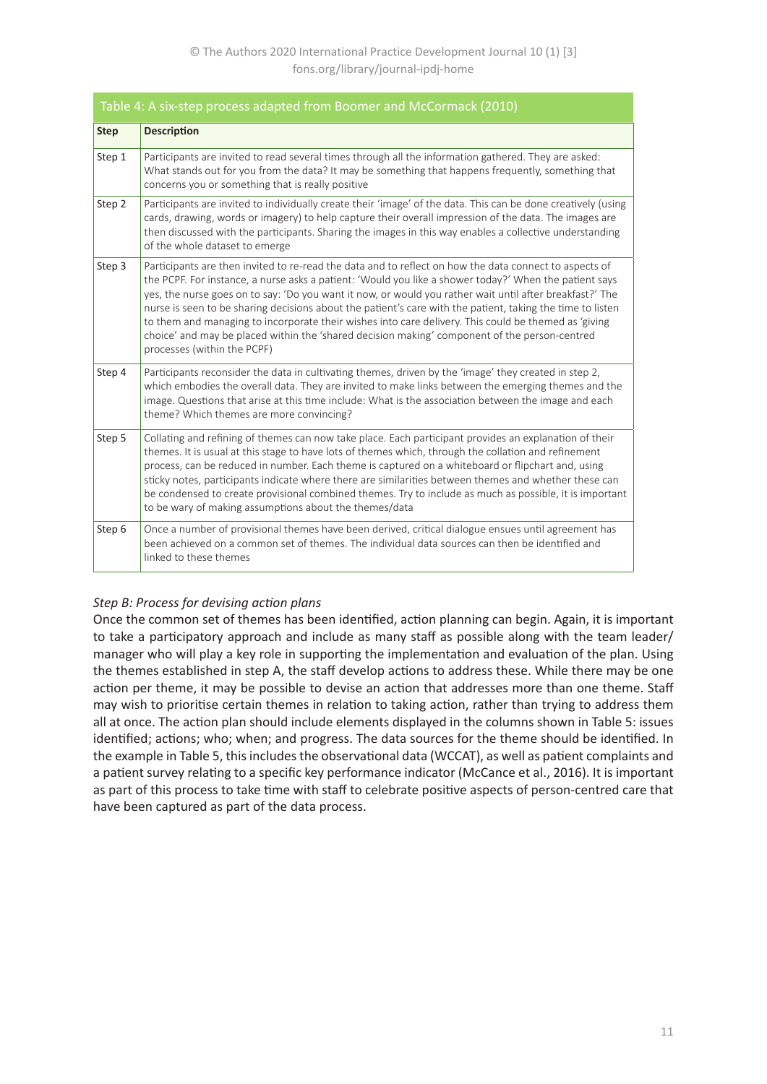| Table 4: A six-step process adapted from Boomer and McCormack (2010) |                                                                                                                                                                                                                                                                                                                                                                                                                                                                                                                                                                                                                                                                                    |  |  |  |
|----------------------------------------------------------------------|------------------------------------------------------------------------------------------------------------------------------------------------------------------------------------------------------------------------------------------------------------------------------------------------------------------------------------------------------------------------------------------------------------------------------------------------------------------------------------------------------------------------------------------------------------------------------------------------------------------------------------------------------------------------------------|--|--|--|
| <b>Step</b>                                                          | <b>Description</b>                                                                                                                                                                                                                                                                                                                                                                                                                                                                                                                                                                                                                                                                 |  |  |  |
| Step 1                                                               | Participants are invited to read several times through all the information gathered. They are asked:<br>What stands out for you from the data? It may be something that happens frequently, something that<br>concerns you or something that is really positive                                                                                                                                                                                                                                                                                                                                                                                                                    |  |  |  |
| Step 2                                                               | Participants are invited to individually create their 'image' of the data. This can be done creatively (using<br>cards, drawing, words or imagery) to help capture their overall impression of the data. The images are<br>then discussed with the participants. Sharing the images in this way enables a collective understanding<br>of the whole dataset to emerge                                                                                                                                                                                                                                                                                                               |  |  |  |
| Step 3                                                               | Participants are then invited to re-read the data and to reflect on how the data connect to aspects of<br>the PCPF. For instance, a nurse asks a patient: 'Would you like a shower today?' When the patient says<br>yes, the nurse goes on to say: 'Do you want it now, or would you rather wait until after breakfast?' The<br>nurse is seen to be sharing decisions about the patient's care with the patient, taking the time to listen<br>to them and managing to incorporate their wishes into care delivery. This could be themed as 'giving<br>choice' and may be placed within the 'shared decision making' component of the person-centred<br>processes (within the PCPF) |  |  |  |
| Step 4                                                               | Participants reconsider the data in cultivating themes, driven by the 'image' they created in step 2,<br>which embodies the overall data. They are invited to make links between the emerging themes and the<br>image. Questions that arise at this time include: What is the association between the image and each<br>theme? Which themes are more convincing?                                                                                                                                                                                                                                                                                                                   |  |  |  |
| Step 5                                                               | Collating and refining of themes can now take place. Each participant provides an explanation of their<br>themes. It is usual at this stage to have lots of themes which, through the collation and refinement<br>process, can be reduced in number. Each theme is captured on a whiteboard or flipchart and, using<br>sticky notes, participants indicate where there are similarities between themes and whether these can<br>be condensed to create provisional combined themes. Try to include as much as possible, it is important<br>to be wary of making assumptions about the themes/data                                                                                  |  |  |  |
| Step 6                                                               | Once a number of provisional themes have been derived, critical dialogue ensues until agreement has<br>been achieved on a common set of themes. The individual data sources can then be identified and<br>linked to these themes                                                                                                                                                                                                                                                                                                                                                                                                                                                   |  |  |  |

# *Step B: Process for devising action plans*

Once the common set of themes has been identified, action planning can begin. Again, it is important to take a participatory approach and include as many staff as possible along with the team leader/ manager who will play a key role in supporting the implementation and evaluation of the plan. Using the themes established in step A, the staff develop actions to address these. While there may be one action per theme, it may be possible to devise an action that addresses more than one theme. Staff may wish to prioritise certain themes in relation to taking action, rather than trying to address them all at once. The action plan should include elements displayed in the columns shown in Table 5: issues identified; actions; who; when; and progress. The data sources for the theme should be identified. In the example in Table 5, this includes the observational data (WCCAT), as well as patient complaints and a patient survey relating to a specific key performance indicator (McCance et al., 2016). It is important as part of this process to take time with staff to celebrate positive aspects of person-centred care that have been captured as part of the data process.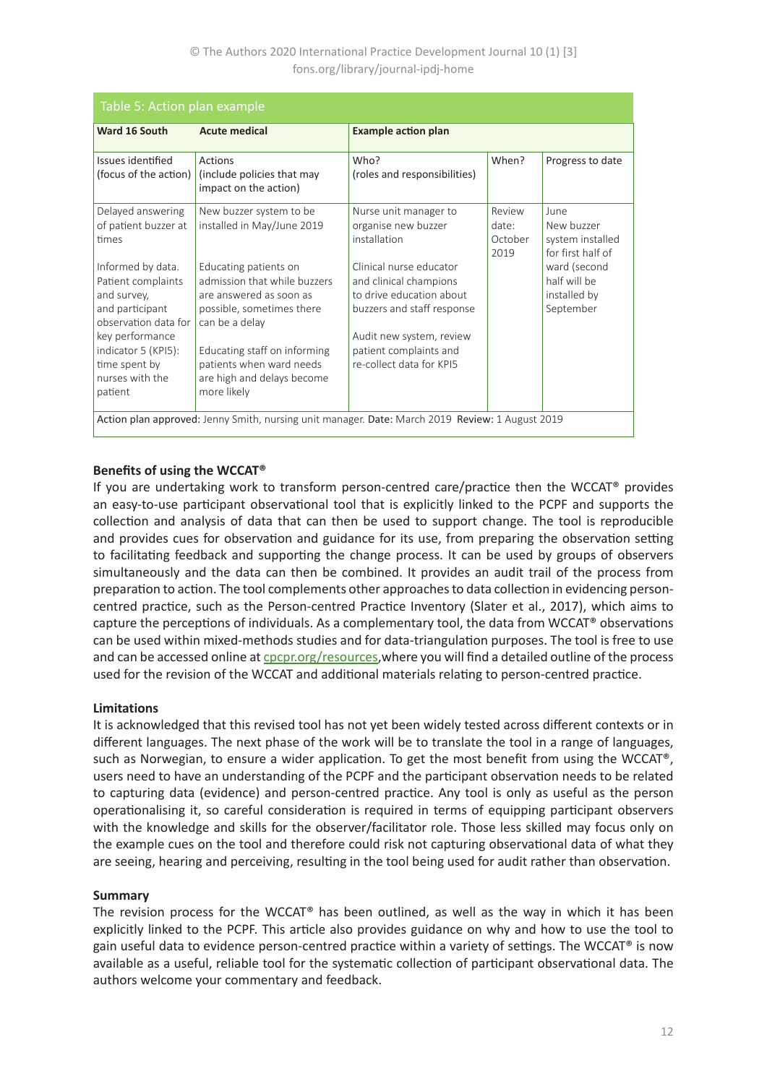## © The Authors 2020 International Practice Development Journal 10 (1) [3] fons.org/library/journal-ipdj-home

| Table 5: Action plan example                                                                                                                                                               |                                                                                                                                                                                                                                          |                                                                                                                                                                                               |                                    |                                                             |  |  |
|--------------------------------------------------------------------------------------------------------------------------------------------------------------------------------------------|------------------------------------------------------------------------------------------------------------------------------------------------------------------------------------------------------------------------------------------|-----------------------------------------------------------------------------------------------------------------------------------------------------------------------------------------------|------------------------------------|-------------------------------------------------------------|--|--|
| Ward 16 South                                                                                                                                                                              | <b>Acute medical</b>                                                                                                                                                                                                                     | <b>Example action plan</b>                                                                                                                                                                    |                                    |                                                             |  |  |
| Issues identified<br>(focus of the action)                                                                                                                                                 | Actions<br>(include policies that may<br>impact on the action)                                                                                                                                                                           | Who?<br>(roles and responsibilities)                                                                                                                                                          | When?                              | Progress to date                                            |  |  |
| Delayed answering<br>of patient buzzer at<br>times                                                                                                                                         | New buzzer system to be<br>installed in May/June 2019                                                                                                                                                                                    | Nurse unit manager to<br>organise new buzzer<br>installation                                                                                                                                  | Review<br>date:<br>October<br>2019 | June<br>New buzzer<br>system installed<br>for first half of |  |  |
| Informed by data.<br>Patient complaints<br>and survey,<br>and participant<br>observation data for<br>key performance<br>indicator 5 (KPI5):<br>time spent by<br>nurses with the<br>patient | Educating patients on<br>admission that while buzzers<br>are answered as soon as<br>possible, sometimes there<br>can be a delay<br>Educating staff on informing<br>patients when ward needs<br>are high and delays become<br>more likely | Clinical nurse educator<br>and clinical champions<br>to drive education about<br>buzzers and staff response<br>Audit new system, review<br>patient complaints and<br>re-collect data for KPI5 |                                    | ward (second<br>half will be<br>installed by<br>September   |  |  |
| Action plan approved: Jenny Smith, nursing unit manager. Date: March 2019 Review: 1 August 2019                                                                                            |                                                                                                                                                                                                                                          |                                                                                                                                                                                               |                                    |                                                             |  |  |

# **Benefits of using the WCCAT®**

If you are undertaking work to transform person-centred care/practice then the WCCAT® provides an easy-to-use participant observational tool that is explicitly linked to the PCPF and supports the collection and analysis of data that can then be used to support change. The tool is reproducible and provides cues for observation and guidance for its use, from preparing the observation setting to facilitating feedback and supporting the change process. It can be used by groups of observers simultaneously and the data can then be combined. It provides an audit trail of the process from preparation to action. The tool complements other approaches to data collection in evidencing personcentred practice, such as the Person-centred Practice Inventory (Slater et al., 2017), which aims to capture the perceptions of individuals. As a complementary tool, the data from WCCAT® observations can be used within mixed-methods studies and for data-triangulation purposes. The tool is free to use and can be accessed online at [cpcpr.org/resources](https://www.cpcpr.org/resources),where you will find a detailed outline of the process used for the revision of the WCCAT and additional materials relating to person-centred practice.

## **Limitations**

It is acknowledged that this revised tool has not yet been widely tested across different contexts or in different languages. The next phase of the work will be to translate the tool in a range of languages, such as Norwegian, to ensure a wider application. To get the most benefit from using the WCCAT®, users need to have an understanding of the PCPF and the participant observation needs to be related to capturing data (evidence) and person-centred practice. Any tool is only as useful as the person operationalising it, so careful consideration is required in terms of equipping participant observers with the knowledge and skills for the observer/facilitator role. Those less skilled may focus only on the example cues on the tool and therefore could risk not capturing observational data of what they are seeing, hearing and perceiving, resulting in the tool being used for audit rather than observation.

## **Summary**

The revision process for the WCCAT® has been outlined, as well as the way in which it has been explicitly linked to the PCPF. This article also provides guidance on why and how to use the tool to gain useful data to evidence person-centred practice within a variety of settings. The WCCAT® is now available as a useful, reliable tool for the systematic collection of participant observational data. The authors welcome your commentary and feedback.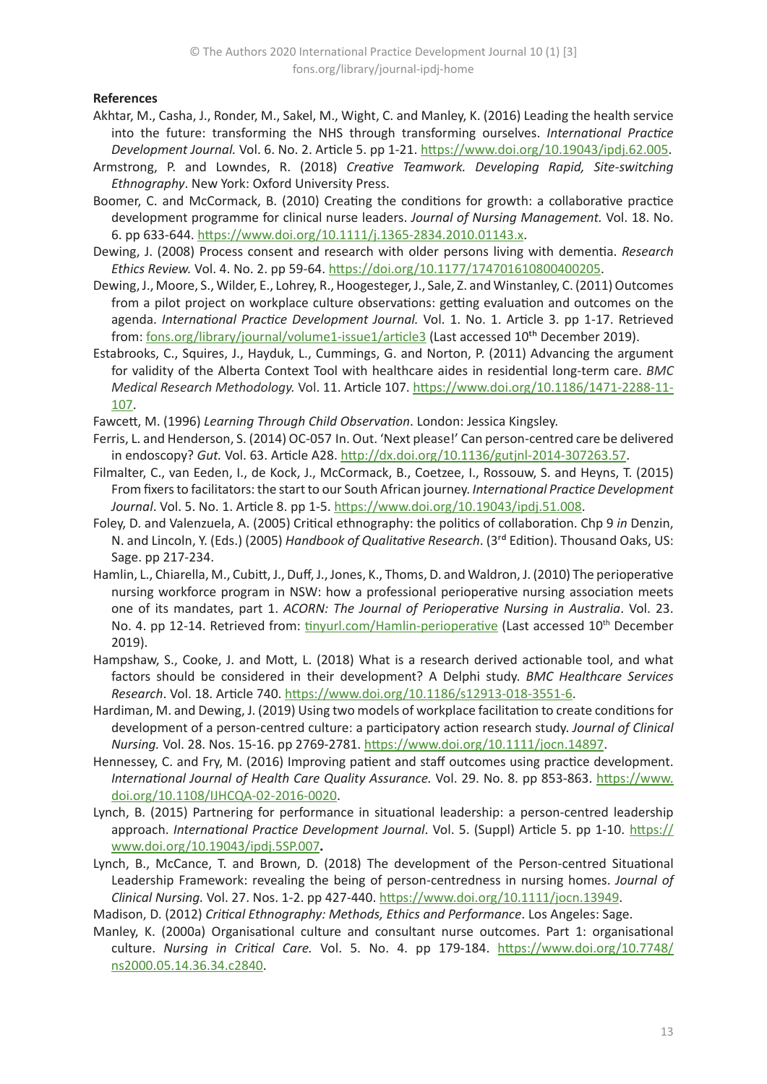## **References**

- Akhtar, M., Casha, J., Ronder, M., Sakel, M., Wight, C. and Manley, K. (2016) Leading the health service into the future: transforming the NHS through transforming ourselves. *International Practice Development Journal.* Vol. 6. No. 2. Article 5. pp 1-21. [https://www.doi.org/10.19043/ipdj.62.005](https://doi.org/10.19043/ipdj.62.005).
- Armstrong, P. and Lowndes, R. (2018) *Creative Teamwork. Developing Rapid, Site-switching Ethnography*. New York: Oxford University Press.
- Boomer, C. and McCormack, B. (2010) Creating the conditions for growth: a collaborative practice development programme for clinical nurse leaders. *Journal of Nursing Management.* Vol. 18. No. 6. pp 633-644.<https://www.doi.org/10.1111/j.1365-2834.2010.01143.x>.
- Dewing, J. (2008) Process consent and research with older persons living with dementia. *Research Ethics Review.* Vol. 4. No. 2. pp 59-64.<https://doi.org/10.1177/174701610800400205>.
- Dewing, J., Moore, S., Wilder, E., Lohrey, R., Hoogesteger, J., Sale, Z. and Winstanley, C. (2011) Outcomes from a pilot project on workplace culture observations: getting evaluation and outcomes on the agenda. *International Practice Development Journal.* Vol. 1. No. 1. Article 3. pp 1-17. Retrieved from: [fons.org/library/journal/volume1-issue1/article3](https://www.fons.org/library/journal/volume1-issue1/article3) (Last accessed 10<sup>th</sup> December 2019).
- Estabrooks, C., Squires, J., Hayduk, L., Cummings, G. and Norton, P. (2011) Advancing the argument for validity of the Alberta Context Tool with healthcare aides in residential long-term care. *BMC Medical Research Methodology.* Vol. 11. Article 107. [https://www.doi.org/10.1186/1471-2288-11-](https://www.doi.org/10.1186/1471-2288-11-107) [107](https://www.doi.org/10.1186/1471-2288-11-107).
- Fawcett, M. (1996) *Learning Through Child Observation*. London: Jessica Kingsley.
- Ferris, L. and Henderson, S. (2014) OC-057 In. Out. 'Next please!' Can person-centred care be delivered in endoscopy? *Gut.* Vol. 63. Article A28. <http://dx.doi.org/10.1136/gutjnl-2014-307263.57>.
- Filmalter, C., van Eeden, I., de Kock, J., McCormack, B., Coetzee, I., Rossouw, S. and Heyns, T. (2015) From fixers to facilitators: the start to our South African journey. *International Practice Development Journal*. Vol. 5. No. 1. Article 8. pp 1-5. https://www[.doi.org/10.19043/ipdj.51.008](https://doi.org/10.19043/ipdj.51.008).
- Foley, D. and Valenzuela, A. (2005) Critical ethnography: the politics of collaboration. Chp 9 *in* Denzin, N. and Lincoln, Y. (Eds.) (2005) *Handbook of Qualitative Research*. (3rd Edition). Thousand Oaks, US: Sage. pp 217-234.
- Hamlin, L., Chiarella, M., Cubitt, J., Duff, J., Jones, K., Thoms, D. and Waldron, J. (2010) The perioperative nursing workforce program in NSW: how a professional perioperative nursing association meets one of its mandates, part 1. *ACORN: The Journal of Perioperative Nursing in Australia*. Vol. 23. No. 4. pp 12-14. Retrieved from: [tinyurl.com/Hamlin-perioperative](https://tinyurl.com/Hamlin-perioperative) (Last accessed 10<sup>th</sup> December 2019).
- Hampshaw, S., Cooke, J. and Mott, L. (2018) What is a research derived actionable tool, and what factors should be considered in their development? A Delphi study. *BMC Healthcare Services Research*. Vol. 18. Article 740.<https://www.doi.org/10.1186/s12913-018-3551-6>.
- Hardiman, M. and Dewing, J. (2019) Using two models of workplace facilitation to create conditions for development of a person‐centred culture: a participatory action research study. *Journal of Clinical Nursing.* Vol. 28. Nos. 15-16. pp 2769-2781. <https://www.doi.org/10.1111/jocn.14897>.
- Hennessey, C. and Fry, M. (2016) Improving patient and staff outcomes using practice development. *International Journal of Health Care Quality Assurance.* Vol. 29. No. 8. pp 853-863. [https://www.](https://www.doi.org/10.1108/IJHCQA-02-2016-0020) [doi.org/10.1108/IJHCQA-02-2016-0020](https://www.doi.org/10.1108/IJHCQA-02-2016-0020).
- Lynch, B. (2015) Partnering for performance in situational leadership: a person-centred leadership approach. *International Practice Development Journal*. Vol. 5. (Suppl) Article 5. pp 1-10. [https://](https://www.doi.org/10.19043/ipdj.5SP.007) [www.doi.org/10.19043/ipdj.5SP.007](https://www.doi.org/10.19043/ipdj.5SP.007)**.**
- Lynch, B., McCance, T. and Brown, D. (2018) The development of the Person-centred Situational Leadership Framework: revealing the being of person‐centredness in nursing homes. *Journal of Clinical Nursing.* [Vol. 27. Nos. 1-2](file:///C:\Users\22061542\AppData\Local\Microsoft\Windows\INetCache\Content.Outlook\LJEDY42Z\ol. 27. No. 1-2). pp 427-440. <https://www.doi.org/10.1111/jocn.13949>.
- Madison, D. (2012) *Critical Ethnography: Methods, Ethics and Performance*. Los Angeles: Sage.
- Manley, K. (2000a) Organisational culture and consultant nurse outcomes. Part 1: organisational culture. *Nursing in Critical Care.* Vol. 5. No. 4. pp 179-184. [https://www.doi.org/10.7748/](https://www.doi.org/10.7748/ns2000.05.14.36.34.c2840) [ns2000.05.14.36.34.c2840](https://www.doi.org/10.7748/ns2000.05.14.36.34.c2840).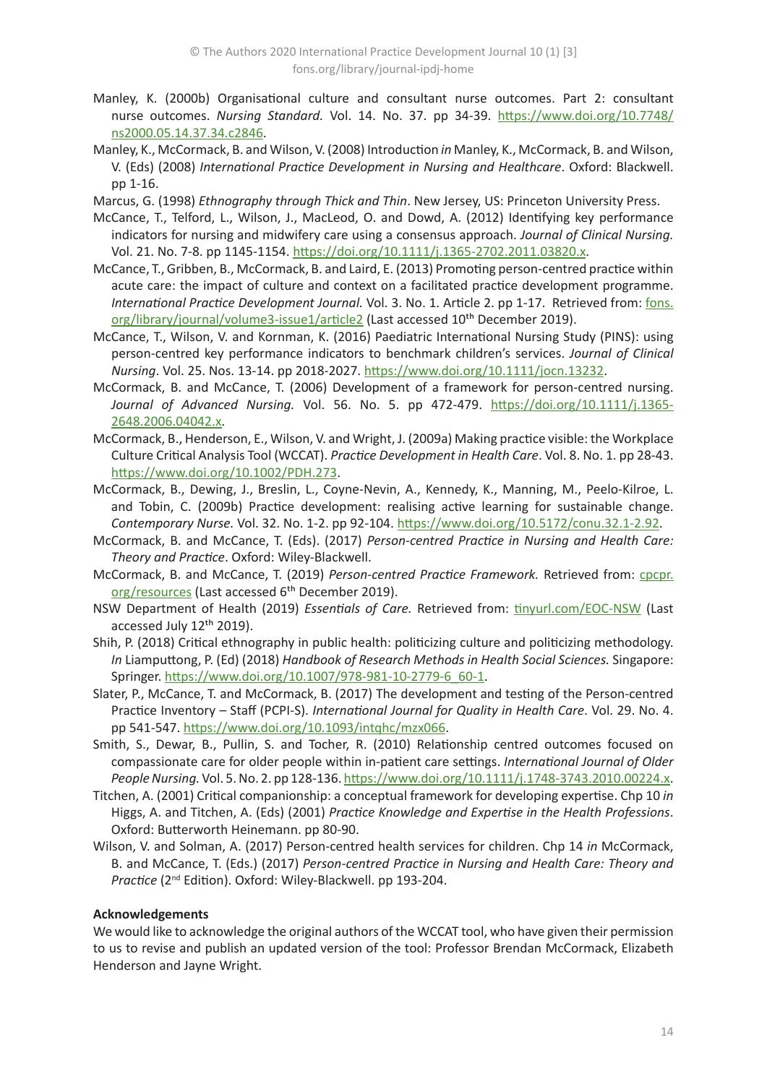- Manley, K. (2000b) Organisational culture and consultant nurse outcomes. Part 2: consultant nurse outcomes. *Nursing Standard.* Vol. 14. No. 37. pp 34-39. [https://www.doi.org/10.7748/](https://www.doi.org/10.7748/ns2000.05.14.37.34.c2846) [ns2000.05.14.37.34.c2846](https://www.doi.org/10.7748/ns2000.05.14.37.34.c2846).
- Manley, K., McCormack, B. and Wilson, V. (2008) Introduction *in* Manley, K., McCormack, B. and Wilson, V. (Eds) (2008) *International Practice Development in Nursing and Healthcare*. Oxford: Blackwell. pp 1-16.
- Marcus, G. (1998) *Ethnography through Thick and Thin*. New Jersey, US: Princeton University Press.
- McCance, T., Telford, L., Wilson, J., MacLeod, O. and Dowd, A. (2012) Identifying key performance indicators for nursing and midwifery care using a consensus approach. *Journal of Clinical Nursing.* Vol. 21. No. 7-8. pp 1145-1154.<https://doi.org/10.1111/j.1365-2702.2011.03820.x>.
- McCance, T., Gribben, B., McCormack, B. and Laird, E. (2013) Promoting person-centred practice within acute care: the impact of culture and context on a facilitated practice development programme. *International Practice Development Journal.* Vol. 3. No. 1. Article 2. pp 1-17. Retrieved from: [fons.](https://www.fons.org/library/journal/volume3-issue1/article2) [org/library/journal/volume3-issue1/article2](https://www.fons.org/library/journal/volume3-issue1/article2) (Last accessed 10<sup>th</sup> December 2019).
- McCance, T., Wilson, V. and Kornman, K. (2016) Paediatric International Nursing Study (PINS): using person-centred key performance indicators to benchmark children's services. *Journal of Clinical Nursing*. Vol. 25. Nos. 13-14. pp 2018-2027. <https://www.doi.org/10.1111/jocn.13232>.
- McCormack, B. and McCance, T. (2006) Development of a framework for person-centred nursing. *Journal of Advanced Nursing.* Vol. 56. No. 5. pp 472-479. [https://doi.org/10.1111/j.1365-](https://doi.org/10.1111/j.1365-2648.2006.04042.x) [2648.2006.04042.x](https://doi.org/10.1111/j.1365-2648.2006.04042.x).
- McCormack, B., Henderson, E., Wilson, V. and Wright, J. (2009a) Making practice visible: the Workplace Culture Critical Analysis Tool (WCCAT). *Practice Development in Health Care*. Vol. 8. No. 1. pp 28-43. <https://www.doi.org/10.1002/PDH.273>.
- McCormack, B., Dewing, J., Breslin, L., Coyne-Nevin, A., Kennedy, K., Manning, M., Peelo-Kilroe, L. and Tobin, C. (2009b) Practice development: realising active learning for sustainable change. *Contemporary Nurse.* Vol. 32. No. 1-2. pp 92-104.<https://www.doi.org/10.5172/conu.32.1-2.92>.
- McCormack, B. and McCance, T. (Eds). (2017) *Person-centred Practice in Nursing and Health Care: Theory and Practice*. Oxford: Wiley-Blackwell.
- McCormack, B. and McCance, T. (2019) *Person-centred Practice Framework.* Retrieved from: [cpcpr.](https://www.cpcpr.org/resources) [org/resources](https://www.cpcpr.org/resources) (Last accessed 6<sup>th</sup> December 2019).
- NSW Department of Health (2019) *Essentials of Care.* Retrieved from: [tinyurl.com/EOC-NSW](http://tinyurl.com/EOC-NSW) (Last accessed July 12<sup>th</sup> 2019).
- Shih, P. (2018) Critical ethnography in public health: politicizing culture and politicizing methodology. *In* Liamputtong, P. (Ed) (2018) *Handbook of Research Methods in Health Social Sciences.* Singapore: Springer. [https://www.doi.org/10.1007/978-981-10-2779-6\\_60-1](https://www.doi.org/10.1007/978-981-10-2779-6_60-1).
- Slater, P., McCance, T. and McCormack, B. (2017) The development and testing of the Person-centred Practice Inventory – Staff (PCPI-S). *International Journal for Quality in Health Care*. Vol. 29. No. 4. pp 541-547. <https://www.doi.org/10.1093/intqhc/mzx066>.
- Smith, S., Dewar, B., Pullin, S. and Tocher, R. (2010) Relationship centred outcomes focused on compassionate care for older people within in-patient care settings. *International Journal of Older People Nursing.* Vol. 5. No. 2. pp 128-136.<https://www.doi.org/10.1111/j.1748-3743.2010.00224.x>.
- Titchen, A. (2001) Critical companionship: a conceptual framework for developing expertise. Chp 10 *in* Higgs, A. and Titchen, A. (Eds) (2001) *Practice Knowledge and Expertise in the Health Professions*. Oxford: Butterworth Heinemann. pp 80-90.
- Wilson, V. and Solman, A. (2017) Person-centred health services for children. Chp 14 *in* McCormack, B. and McCance, T. (Eds.) (2017) *Person-centred Practice in Nursing and Health Care: Theory and Practice* (2nd Edition). Oxford: Wiley-Blackwell. pp 193-204.

## **Acknowledgements**

We would like to acknowledge the original authors of the WCCAT tool, who have given their permission to us to revise and publish an updated version of the tool: Professor Brendan McCormack, Elizabeth Henderson and Jayne Wright.